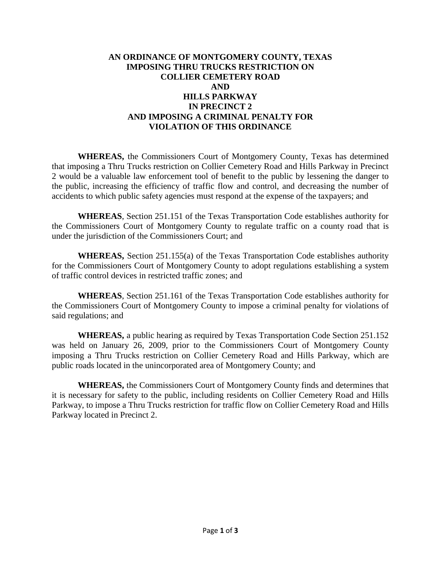## **AN ORDINANCE OF MONTGOMERY COUNTY, TEXAS IMPOSING THRU TRUCKS RESTRICTION ON COLLIER CEMETERY ROAD AND HILLS PARKWAY IN PRECINCT 2 AND IMPOSING A CRIMINAL PENALTY FOR VIOLATION OF THIS ORDINANCE**

**WHEREAS,** the Commissioners Court of Montgomery County, Texas has determined that imposing a Thru Trucks restriction on Collier Cemetery Road and Hills Parkway in Precinct 2 would be a valuable law enforcement tool of benefit to the public by lessening the danger to the public, increasing the efficiency of traffic flow and control, and decreasing the number of accidents to which public safety agencies must respond at the expense of the taxpayers; and

**WHEREAS**, Section 251.151 of the Texas Transportation Code establishes authority for the Commissioners Court of Montgomery County to regulate traffic on a county road that is under the jurisdiction of the Commissioners Court; and

**WHEREAS,** Section 251.155(a) of the Texas Transportation Code establishes authority for the Commissioners Court of Montgomery County to adopt regulations establishing a system of traffic control devices in restricted traffic zones; and

**WHEREAS**, Section 251.161 of the Texas Transportation Code establishes authority for the Commissioners Court of Montgomery County to impose a criminal penalty for violations of said regulations; and

**WHEREAS,** a public hearing as required by Texas Transportation Code Section 251.152 was held on January 26, 2009, prior to the Commissioners Court of Montgomery County imposing a Thru Trucks restriction on Collier Cemetery Road and Hills Parkway, which are public roads located in the unincorporated area of Montgomery County; and

**WHEREAS,** the Commissioners Court of Montgomery County finds and determines that it is necessary for safety to the public, including residents on Collier Cemetery Road and Hills Parkway, to impose a Thru Trucks restriction for traffic flow on Collier Cemetery Road and Hills Parkway located in Precinct 2.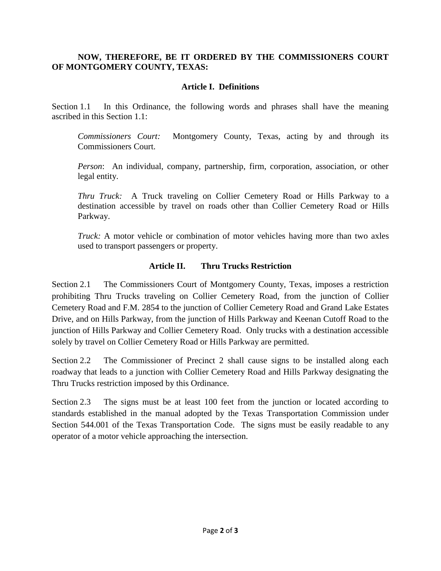# **NOW, THEREFORE, BE IT ORDERED BY THE COMMISSIONERS COURT OF MONTGOMERY COUNTY, TEXAS:**

# **Article I. Definitions**

Section 1.1 In this Ordinance, the following words and phrases shall have the meaning ascribed in this Section 1.1:

*Commissioners Court:* Montgomery County, Texas, acting by and through its Commissioners Court.

*Person*: An individual, company, partnership, firm, corporation, association, or other legal entity.

*Thru Truck:* A Truck traveling on Collier Cemetery Road or Hills Parkway to a destination accessible by travel on roads other than Collier Cemetery Road or Hills Parkway.

*Truck:* A motor vehicle or combination of motor vehicles having more than two axles used to transport passengers or property.

## **Article II. Thru Trucks Restriction**

Section 2.1 The Commissioners Court of Montgomery County, Texas, imposes a restriction prohibiting Thru Trucks traveling on Collier Cemetery Road, from the junction of Collier Cemetery Road and F.M. 2854 to the junction of Collier Cemetery Road and Grand Lake Estates Drive, and on Hills Parkway, from the junction of Hills Parkway and Keenan Cutoff Road to the junction of Hills Parkway and Collier Cemetery Road. Only trucks with a destination accessible solely by travel on Collier Cemetery Road or Hills Parkway are permitted.

Section 2.2 The Commissioner of Precinct 2 shall cause signs to be installed along each roadway that leads to a junction with Collier Cemetery Road and Hills Parkway designating the Thru Trucks restriction imposed by this Ordinance.

Section 2.3 The signs must be at least 100 feet from the junction or located according to standards established in the manual adopted by the Texas Transportation Commission under Section 544.001 of the Texas Transportation Code. The signs must be easily readable to any operator of a motor vehicle approaching the intersection.